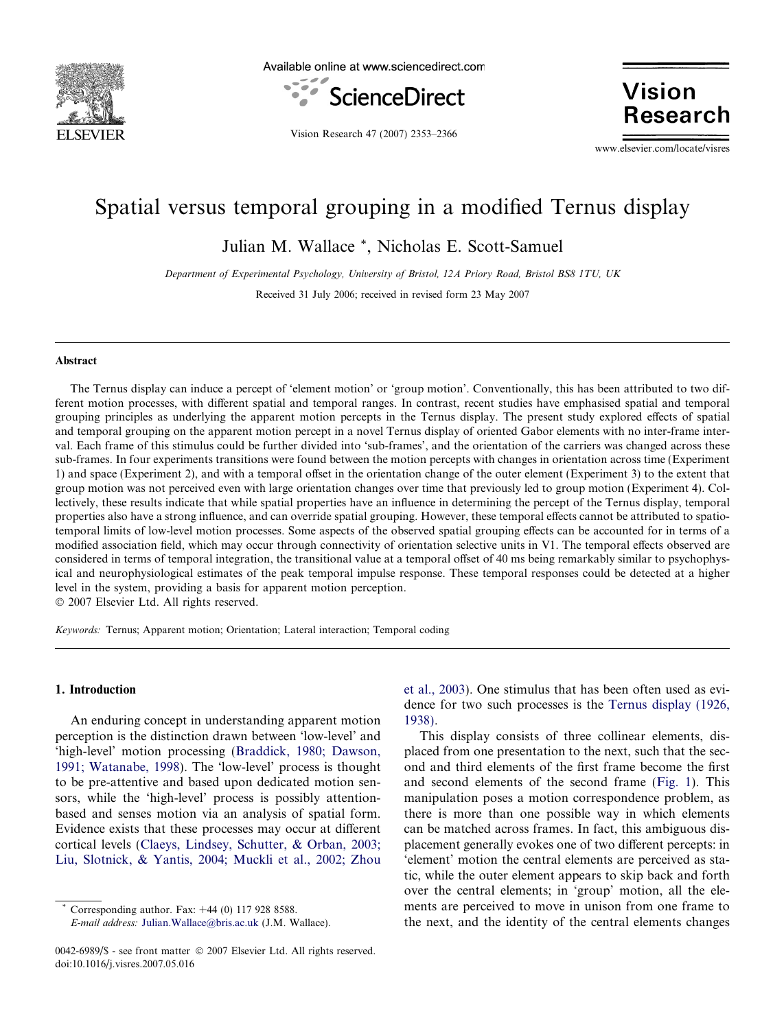

Available online at www.sciencedirect.com



**Vision Research** 

Vision Research 47 (2007) 2353–2366

www.elsevier.com/locate/visres

# Spatial versus temporal grouping in a modified Ternus display

Julian M. Wallace \*, Nicholas E. Scott-Samuel

Department of Experimental Psychology, University of Bristol, 12A Priory Road, Bristol BS8 1TU, UK

Received 31 July 2006; received in revised form 23 May 2007

#### Abstract

The Ternus display can induce a percept of 'element motion' or 'group motion'. Conventionally, this has been attributed to two different motion processes, with different spatial and temporal ranges. In contrast, recent studies have emphasised spatial and temporal grouping principles as underlying the apparent motion percepts in the Ternus display. The present study explored effects of spatial and temporal grouping on the apparent motion percept in a novel Ternus display of oriented Gabor elements with no inter-frame interval. Each frame of this stimulus could be further divided into 'sub-frames', and the orientation of the carriers was changed across these sub-frames. In four experiments transitions were found between the motion percepts with changes in orientation across time (Experiment 1) and space (Experiment 2), and with a temporal offset in the orientation change of the outer element (Experiment 3) to the extent that group motion was not perceived even with large orientation changes over time that previously led to group motion (Experiment 4). Collectively, these results indicate that while spatial properties have an influence in determining the percept of the Ternus display, temporal properties also have a strong influence, and can override spatial grouping. However, these temporal effects cannot be attributed to spatiotemporal limits of low-level motion processes. Some aspects of the observed spatial grouping effects can be accounted for in terms of a modified association field, which may occur through connectivity of orientation selective units in V1. The temporal effects observed are considered in terms of temporal integration, the transitional value at a temporal offset of 40 ms being remarkably similar to psychophysical and neurophysiological estimates of the peak temporal impulse response. These temporal responses could be detected at a higher level in the system, providing a basis for apparent motion perception.

© 2007 Elsevier Ltd. All rights reserved.

Keywords: Ternus; Apparent motion; Orientation; Lateral interaction; Temporal coding

#### 1. Introduction

An enduring concept in understanding apparent motion perception is the distinction drawn between 'low-level' and 'high-level' motion processing ([Braddick, 1980; Dawson,](#page-12-0) [1991; Watanabe, 1998\)](#page-12-0). The 'low-level' process is thought to be pre-attentive and based upon dedicated motion sensors, while the 'high-level' process is possibly attentionbased and senses motion via an analysis of spatial form. Evidence exists that these processes may occur at different cortical levels [\(Claeys, Lindsey, Schutter, & Orban, 2003;](#page-12-0) [Liu, Slotnick, & Yantis, 2004; Muckli et al., 2002; Zhou](#page-12-0)

E-mail address: [Julian.Wallace@bris.ac.uk](mailto:Julian.Wallace@bris.ac.uk) (J.M. Wallace).

[et al., 2003\)](#page-12-0). One stimulus that has been often used as evidence for two such processes is the [Ternus display \(1926,](#page-13-0) [1938\).](#page-13-0)

This display consists of three collinear elements, displaced from one presentation to the next, such that the second and third elements of the first frame become the first and second elements of the second frame [\(Fig. 1](#page-1-0)). This manipulation poses a motion correspondence problem, as there is more than one possible way in which elements can be matched across frames. In fact, this ambiguous displacement generally evokes one of two different percepts: in 'element' motion the central elements are perceived as static, while the outer element appears to skip back and forth over the central elements; in 'group' motion, all the elements are perceived to move in unison from one frame to the next, and the identity of the central elements changes

Corresponding author. Fax:  $+44$  (0) 117 928 8588.

<sup>0042-6989/\$ -</sup> see front matter © 2007 Elsevier Ltd. All rights reserved. doi:10.1016/j.visres.2007.05.016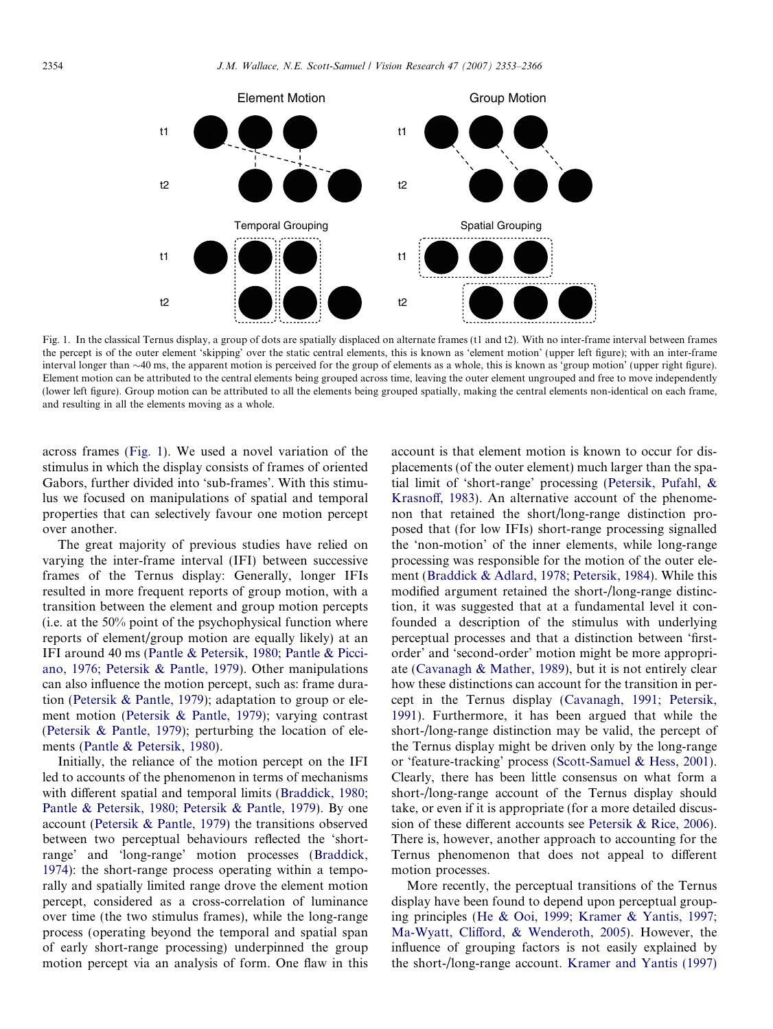<span id="page-1-0"></span>

Fig. 1. In the classical Ternus display, a group of dots are spatially displaced on alternate frames (t1 and t2). With no inter-frame interval between frames the percept is of the outer element 'skipping' over the static central elements, this is known as 'element motion' (upper left figure); with an inter-frame interval longer than -40 ms, the apparent motion is perceived for the group of elements as a whole, this is known as 'group motion' (upper right figure). Element motion can be attributed to the central elements being grouped across time, leaving the outer element ungrouped and free to move independently (lower left figure). Group motion can be attributed to all the elements being grouped spatially, making the central elements non-identical on each frame, and resulting in all the elements moving as a whole.

across frames (Fig. 1). We used a novel variation of the stimulus in which the display consists of frames of oriented Gabors, further divided into 'sub-frames'. With this stimulus we focused on manipulations of spatial and temporal properties that can selectively favour one motion percept over another.

The great majority of previous studies have relied on varying the inter-frame interval (IFI) between successive frames of the Ternus display: Generally, longer IFIs resulted in more frequent reports of group motion, with a transition between the element and group motion percepts (i.e. at the 50% point of the psychophysical function where reports of element/group motion are equally likely) at an IFI around 40 ms [\(Pantle & Petersik, 1980; Pantle & Picci](#page-13-0)[ano, 1976; Petersik & Pantle, 1979](#page-13-0)). Other manipulations can also influence the motion percept, such as: frame duration [\(Petersik & Pantle, 1979](#page-13-0)); adaptation to group or element motion [\(Petersik & Pantle, 1979\)](#page-13-0); varying contrast [\(Petersik & Pantle, 1979](#page-13-0)); perturbing the location of elements ([Pantle & Petersik, 1980\)](#page-13-0).

Initially, the reliance of the motion percept on the IFI led to accounts of the phenomenon in terms of mechanisms with different spatial and temporal limits ([Braddick, 1980;](#page-12-0) [Pantle & Petersik, 1980; Petersik & Pantle, 1979](#page-12-0)). By one account ([Petersik & Pantle, 1979](#page-13-0)) the transitions observed between two perceptual behaviours reflected the 'shortrange' and 'long-range' motion processes ([Braddick,](#page-12-0) [1974\)](#page-12-0): the short-range process operating within a temporally and spatially limited range drove the element motion percept, considered as a cross-correlation of luminance over time (the two stimulus frames), while the long-range process (operating beyond the temporal and spatial span of early short-range processing) underpinned the group motion percept via an analysis of form. One flaw in this

account is that element motion is known to occur for displacements (of the outer element) much larger than the spatial limit of 'short-range' processing ([Petersik, Pufahl, &](#page-13-0) [Krasnoff, 1983\)](#page-13-0). An alternative account of the phenomenon that retained the short/long-range distinction proposed that (for low IFIs) short-range processing signalled the 'non-motion' of the inner elements, while long-range processing was responsible for the motion of the outer element [\(Braddick & Adlard, 1978; Petersik, 1984\)](#page-12-0). While this modified argument retained the short-/long-range distinction, it was suggested that at a fundamental level it confounded a description of the stimulus with underlying perceptual processes and that a distinction between 'firstorder' and 'second-order' motion might be more appropriate ([Cavanagh & Mather, 1989](#page-12-0)), but it is not entirely clear how these distinctions can account for the transition in percept in the Ternus display [\(Cavanagh, 1991; Petersik,](#page-12-0) [1991\)](#page-12-0). Furthermore, it has been argued that while the short-/long-range distinction may be valid, the percept of the Ternus display might be driven only by the long-range or 'feature-tracking' process [\(Scott-Samuel & Hess, 2001\)](#page-13-0). Clearly, there has been little consensus on what form a short-/long-range account of the Ternus display should take, or even if it is appropriate (for a more detailed discussion of these different accounts see [Petersik & Rice, 2006\)](#page-13-0). There is, however, another approach to accounting for the Ternus phenomenon that does not appeal to different motion processes.

More recently, the perceptual transitions of the Ternus display have been found to depend upon perceptual grouping principles ([He & Ooi, 1999; Kramer & Yantis, 1997;](#page-13-0) [Ma-Wyatt, Clifford, & Wenderoth, 2005\)](#page-13-0). However, the influence of grouping factors is not easily explained by the short-/long-range account. [Kramer and Yantis \(1997\)](#page-13-0)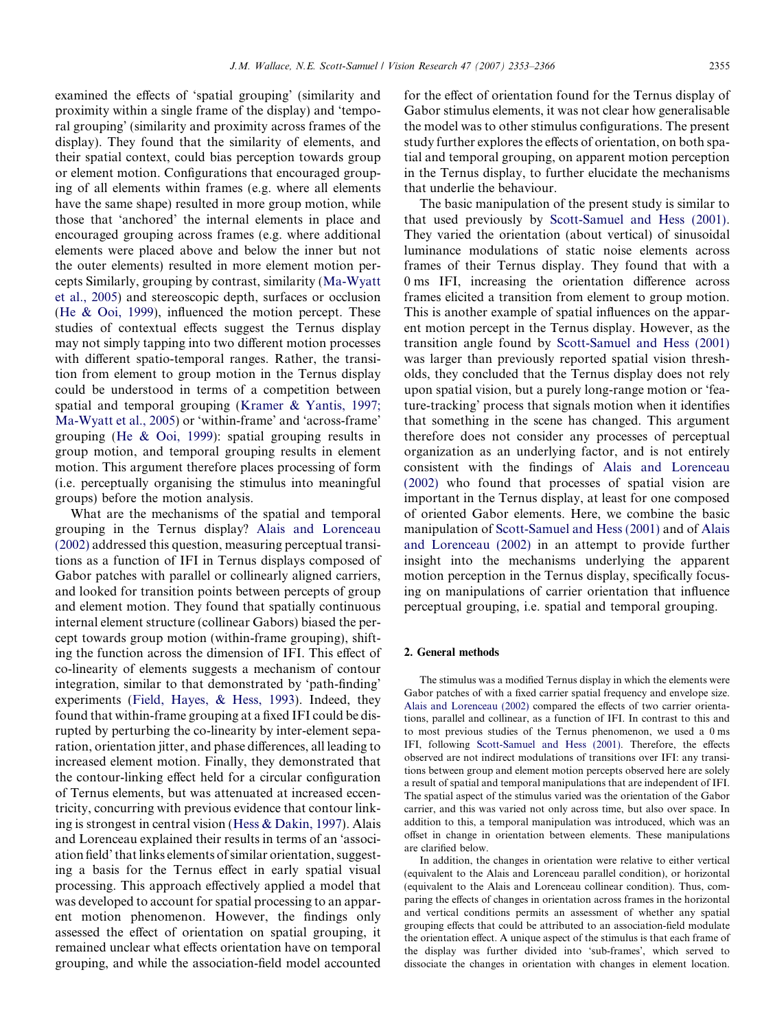examined the effects of 'spatial grouping' (similarity and proximity within a single frame of the display) and 'temporal grouping' (similarity and proximity across frames of the display). They found that the similarity of elements, and their spatial context, could bias perception towards group or element motion. Configurations that encouraged grouping of all elements within frames (e.g. where all elements have the same shape) resulted in more group motion, while those that 'anchored' the internal elements in place and encouraged grouping across frames (e.g. where additional elements were placed above and below the inner but not the outer elements) resulted in more element motion percepts Similarly, grouping by contrast, similarity ([Ma-Wyatt](#page-13-0) [et al., 2005\)](#page-13-0) and stereoscopic depth, surfaces or occlusion ([He & Ooi, 1999](#page-13-0)), influenced the motion percept. These studies of contextual effects suggest the Ternus display may not simply tapping into two different motion processes with different spatio-temporal ranges. Rather, the transition from element to group motion in the Ternus display could be understood in terms of a competition between spatial and temporal grouping [\(Kramer & Yantis, 1997;](#page-13-0) [Ma-Wyatt et al., 2005](#page-13-0)) or 'within-frame' and 'across-frame' grouping ([He & Ooi, 1999](#page-13-0)): spatial grouping results in group motion, and temporal grouping results in element motion. This argument therefore places processing of form (i.e. perceptually organising the stimulus into meaningful groups) before the motion analysis.

What are the mechanisms of the spatial and temporal grouping in the Ternus display? [Alais and Lorenceau](#page-12-0) [\(2002\)](#page-12-0) addressed this question, measuring perceptual transitions as a function of IFI in Ternus displays composed of Gabor patches with parallel or collinearly aligned carriers, and looked for transition points between percepts of group and element motion. They found that spatially continuous internal element structure (collinear Gabors) biased the percept towards group motion (within-frame grouping), shifting the function across the dimension of IFI. This effect of co-linearity of elements suggests a mechanism of contour integration, similar to that demonstrated by 'path-finding' experiments [\(Field, Hayes, & Hess, 1993](#page-13-0)). Indeed, they found that within-frame grouping at a fixed IFI could be disrupted by perturbing the co-linearity by inter-element separation, orientation jitter, and phase differences, all leading to increased element motion. Finally, they demonstrated that the contour-linking effect held for a circular configuration of Ternus elements, but was attenuated at increased eccentricity, concurring with previous evidence that contour linking is strongest in central vision ([Hess & Dakin, 1997\)](#page-13-0). Alais and Lorenceau explained their results in terms of an 'association field' that links elements of similar orientation, suggesting a basis for the Ternus effect in early spatial visual processing. This approach effectively applied a model that was developed to account for spatial processing to an apparent motion phenomenon. However, the findings only assessed the effect of orientation on spatial grouping, it remained unclear what effects orientation have on temporal grouping, and while the association-field model accounted

for the effect of orientation found for the Ternus display of Gabor stimulus elements, it was not clear how generalisable the model was to other stimulus configurations. The present study further explores the effects of orientation, on both spatial and temporal grouping, on apparent motion perception in the Ternus display, to further elucidate the mechanisms that underlie the behaviour.

The basic manipulation of the present study is similar to that used previously by [Scott-Samuel and Hess \(2001\).](#page-13-0) They varied the orientation (about vertical) of sinusoidal luminance modulations of static noise elements across frames of their Ternus display. They found that with a 0 ms IFI, increasing the orientation difference across frames elicited a transition from element to group motion. This is another example of spatial influences on the apparent motion percept in the Ternus display. However, as the transition angle found by [Scott-Samuel and Hess \(2001\)](#page-13-0) was larger than previously reported spatial vision thresholds, they concluded that the Ternus display does not rely upon spatial vision, but a purely long-range motion or 'feature-tracking' process that signals motion when it identifies that something in the scene has changed. This argument therefore does not consider any processes of perceptual organization as an underlying factor, and is not entirely consistent with the findings of [Alais and Lorenceau](#page-12-0) [\(2002\)](#page-12-0) who found that processes of spatial vision are important in the Ternus display, at least for one composed of oriented Gabor elements. Here, we combine the basic manipulation of [Scott-Samuel and Hess \(2001\)](#page-13-0) and of [Alais](#page-12-0) [and Lorenceau \(2002\)](#page-12-0) in an attempt to provide further insight into the mechanisms underlying the apparent motion perception in the Ternus display, specifically focusing on manipulations of carrier orientation that influence perceptual grouping, i.e. spatial and temporal grouping.

#### 2. General methods

The stimulus was a modified Ternus display in which the elements were Gabor patches of with a fixed carrier spatial frequency and envelope size. [Alais and Lorenceau \(2002\)](#page-12-0) compared the effects of two carrier orientations, parallel and collinear, as a function of IFI. In contrast to this and to most previous studies of the Ternus phenomenon, we used a 0 ms IFI, following [Scott-Samuel and Hess \(2001\)](#page-13-0). Therefore, the effects observed are not indirect modulations of transitions over IFI: any transitions between group and element motion percepts observed here are solely a result of spatial and temporal manipulations that are independent of IFI. The spatial aspect of the stimulus varied was the orientation of the Gabor carrier, and this was varied not only across time, but also over space. In addition to this, a temporal manipulation was introduced, which was an offset in change in orientation between elements. These manipulations are clarified below.

In addition, the changes in orientation were relative to either vertical (equivalent to the Alais and Lorenceau parallel condition), or horizontal (equivalent to the Alais and Lorenceau collinear condition). Thus, comparing the effects of changes in orientation across frames in the horizontal and vertical conditions permits an assessment of whether any spatial grouping effects that could be attributed to an association-field modulate the orientation effect. A unique aspect of the stimulus is that each frame of the display was further divided into 'sub-frames', which served to dissociate the changes in orientation with changes in element location.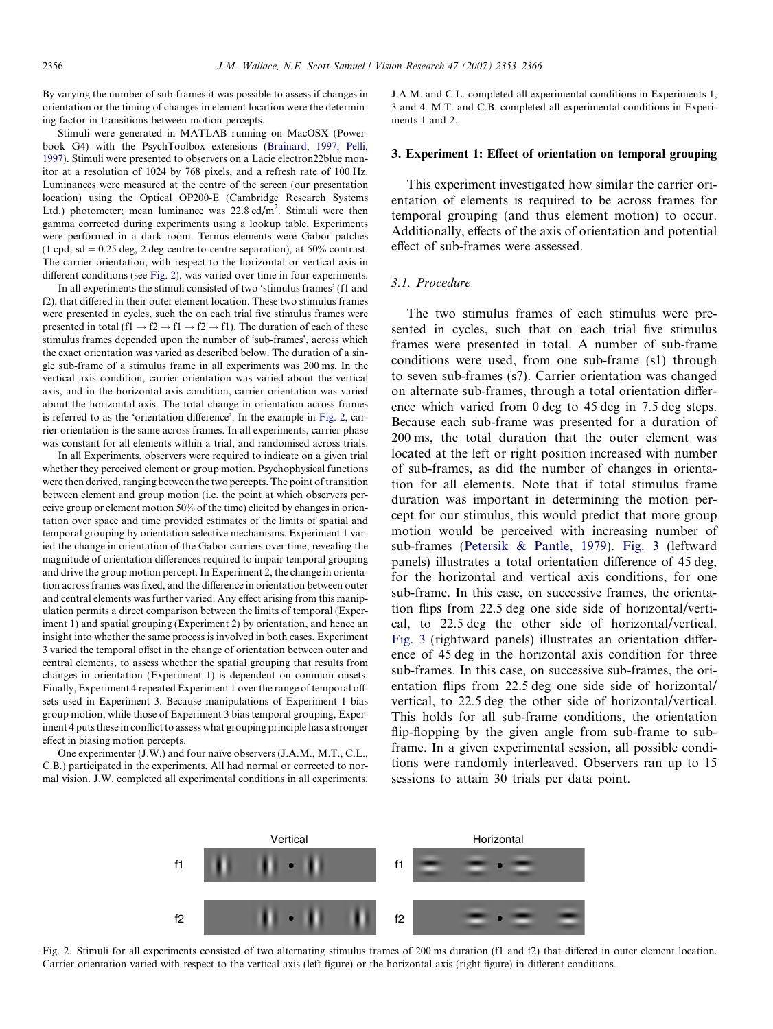By varying the number of sub-frames it was possible to assess if changes in orientation or the timing of changes in element location were the determining factor in transitions between motion percepts.

Stimuli were generated in MATLAB running on MacOSX (Powerbook G4) with the PsychToolbox extensions [\(Brainard, 1997; Pelli,](#page-12-0) [1997\)](#page-12-0). Stimuli were presented to observers on a Lacie electron22blue monitor at a resolution of 1024 by 768 pixels, and a refresh rate of 100 Hz. Luminances were measured at the centre of the screen (our presentation location) using the Optical OP200-E (Cambridge Research Systems Ltd.) photometer; mean luminance was  $22.8 \text{ cd/m}^2$ . Stimuli were then gamma corrected during experiments using a lookup table. Experiments were performed in a dark room. Ternus elements were Gabor patches (1 cpd, sd = 0.25 deg, 2 deg centre-to-centre separation), at  $50\%$  contrast. The carrier orientation, with respect to the horizontal or vertical axis in different conditions (see Fig. 2), was varied over time in four experiments.

In all experiments the stimuli consisted of two 'stimulus frames' (f1 and f2), that differed in their outer element location. These two stimulus frames were presented in cycles, such the on each trial five stimulus frames were presented in total (f1  $\rightarrow$  f2  $\rightarrow$  f1  $\rightarrow$  f2  $\rightarrow$  f1). The duration of each of these stimulus frames depended upon the number of 'sub-frames', across which the exact orientation was varied as described below. The duration of a single sub-frame of a stimulus frame in all experiments was 200 ms. In the vertical axis condition, carrier orientation was varied about the vertical axis, and in the horizontal axis condition, carrier orientation was varied about the horizontal axis. The total change in orientation across frames is referred to as the 'orientation difference'. In the example in Fig. 2, carrier orientation is the same across frames. In all experiments, carrier phase was constant for all elements within a trial, and randomised across trials.

In all Experiments, observers were required to indicate on a given trial whether they perceived element or group motion. Psychophysical functions were then derived, ranging between the two percepts. The point of transition between element and group motion (i.e. the point at which observers perceive group or element motion 50% of the time) elicited by changes in orientation over space and time provided estimates of the limits of spatial and temporal grouping by orientation selective mechanisms. Experiment 1 varied the change in orientation of the Gabor carriers over time, revealing the magnitude of orientation differences required to impair temporal grouping and drive the group motion percept. In Experiment 2, the change in orientation across frames was fixed, and the difference in orientation between outer and central elements was further varied. Any effect arising from this manipulation permits a direct comparison between the limits of temporal (Experiment 1) and spatial grouping (Experiment 2) by orientation, and hence an insight into whether the same process is involved in both cases. Experiment 3 varied the temporal offset in the change of orientation between outer and central elements, to assess whether the spatial grouping that results from changes in orientation (Experiment 1) is dependent on common onsets. Finally, Experiment 4 repeated Experiment 1 over the range of temporal offsets used in Experiment 3. Because manipulations of Experiment 1 bias group motion, while those of Experiment 3 bias temporal grouping, Experiment 4 puts these in conflict to assess what grouping principle has a stronger effect in biasing motion percepts.

One experimenter (J.W.) and four naïve observers (J.A.M., M.T., C.L., C.B.) participated in the experiments. All had normal or corrected to normal vision. J.W. completed all experimental conditions in all experiments.

J.A.M. and C.L. completed all experimental conditions in Experiments 1, 3 and 4. M.T. and C.B. completed all experimental conditions in Experiments 1 and 2.

#### 3. Experiment 1: Effect of orientation on temporal grouping

This experiment investigated how similar the carrier orientation of elements is required to be across frames for temporal grouping (and thus element motion) to occur. Additionally, effects of the axis of orientation and potential effect of sub-frames were assessed.

#### 3.1. Procedure

The two stimulus frames of each stimulus were presented in cycles, such that on each trial five stimulus frames were presented in total. A number of sub-frame conditions were used, from one sub-frame (s1) through to seven sub-frames (s7). Carrier orientation was changed on alternate sub-frames, through a total orientation difference which varied from 0 deg to 45 deg in 7.5 deg steps. Because each sub-frame was presented for a duration of 200 ms, the total duration that the outer element was located at the left or right position increased with number of sub-frames, as did the number of changes in orientation for all elements. Note that if total stimulus frame duration was important in determining the motion percept for our stimulus, this would predict that more group motion would be perceived with increasing number of sub-frames ([Petersik & Pantle, 1979\)](#page-13-0). [Fig. 3](#page-4-0) (leftward panels) illustrates a total orientation difference of 45 deg, for the horizontal and vertical axis conditions, for one sub-frame. In this case, on successive frames, the orientation flips from 22.5 deg one side side of horizontal/vertical, to 22.5 deg the other side of horizontal/vertical. [Fig. 3](#page-4-0) (rightward panels) illustrates an orientation difference of 45 deg in the horizontal axis condition for three sub-frames. In this case, on successive sub-frames, the orientation flips from 22.5 deg one side side of horizontal/ vertical, to 22.5 deg the other side of horizontal/vertical. This holds for all sub-frame conditions, the orientation flip-flopping by the given angle from sub-frame to subframe. In a given experimental session, all possible conditions were randomly interleaved. Observers ran up to 15 sessions to attain 30 trials per data point.



Fig. 2. Stimuli for all experiments consisted of two alternating stimulus frames of 200 ms duration (f1 and f2) that differed in outer element location. Carrier orientation varied with respect to the vertical axis (left figure) or the horizontal axis (right figure) in different conditions.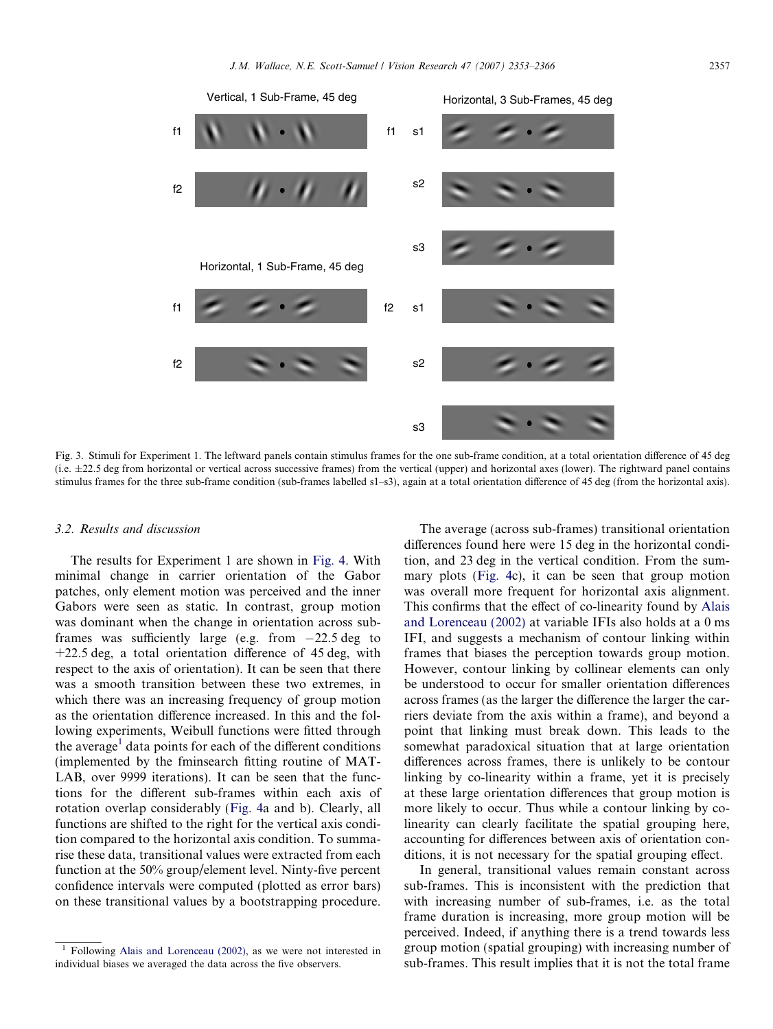<span id="page-4-0"></span>

Fig. 3. Stimuli for Experiment 1. The leftward panels contain stimulus frames for the one sub-frame condition, at a total orientation difference of 45 deg (i.e. ±22.5 deg from horizontal or vertical across successive frames) from the vertical (upper) and horizontal axes (lower). The rightward panel contains stimulus frames for the three sub-frame condition (sub-frames labelled s1–s3), again at a total orientation difference of 45 deg (from the horizontal axis).

#### 3.2. Results and discussion

The results for Experiment 1 are shown in [Fig. 4](#page-5-0). With minimal change in carrier orientation of the Gabor patches, only element motion was perceived and the inner Gabors were seen as static. In contrast, group motion was dominant when the change in orientation across subframes was sufficiently large (e.g. from  $-22.5$  deg to  $+22.5$  deg, a total orientation difference of 45 deg, with respect to the axis of orientation). It can be seen that there was a smooth transition between these two extremes, in which there was an increasing frequency of group motion as the orientation difference increased. In this and the following experiments, Weibull functions were fitted through the average<sup>1</sup> data points for each of the different conditions (implemented by the fminsearch fitting routine of MAT-LAB, over 9999 iterations). It can be seen that the functions for the different sub-frames within each axis of rotation overlap considerably [\(Fig. 4a](#page-5-0) and b). Clearly, all functions are shifted to the right for the vertical axis condition compared to the horizontal axis condition. To summarise these data, transitional values were extracted from each function at the 50% group/element level. Ninty-five percent confidence intervals were computed (plotted as error bars) on these transitional values by a bootstrapping procedure.

The average (across sub-frames) transitional orientation differences found here were 15 deg in the horizontal condition, and 23 deg in the vertical condition. From the summary plots ([Fig. 4c](#page-5-0)), it can be seen that group motion was overall more frequent for horizontal axis alignment. This confirms that the effect of co-linearity found by [Alais](#page-12-0) [and Lorenceau \(2002\)](#page-12-0) at variable IFIs also holds at a 0 ms IFI, and suggests a mechanism of contour linking within frames that biases the perception towards group motion. However, contour linking by collinear elements can only be understood to occur for smaller orientation differences across frames (as the larger the difference the larger the carriers deviate from the axis within a frame), and beyond a point that linking must break down. This leads to the somewhat paradoxical situation that at large orientation differences across frames, there is unlikely to be contour linking by co-linearity within a frame, yet it is precisely at these large orientation differences that group motion is more likely to occur. Thus while a contour linking by colinearity can clearly facilitate the spatial grouping here, accounting for differences between axis of orientation conditions, it is not necessary for the spatial grouping effect.

In general, transitional values remain constant across sub-frames. This is inconsistent with the prediction that with increasing number of sub-frames, i.e. as the total frame duration is increasing, more group motion will be perceived. Indeed, if anything there is a trend towards less group motion (spatial grouping) with increasing number of sub-frames. This result implies that it is not the total frame

 $1$  Following [Alais and Lorenceau \(2002\)](#page-12-0), as we were not interested in individual biases we averaged the data across the five observers.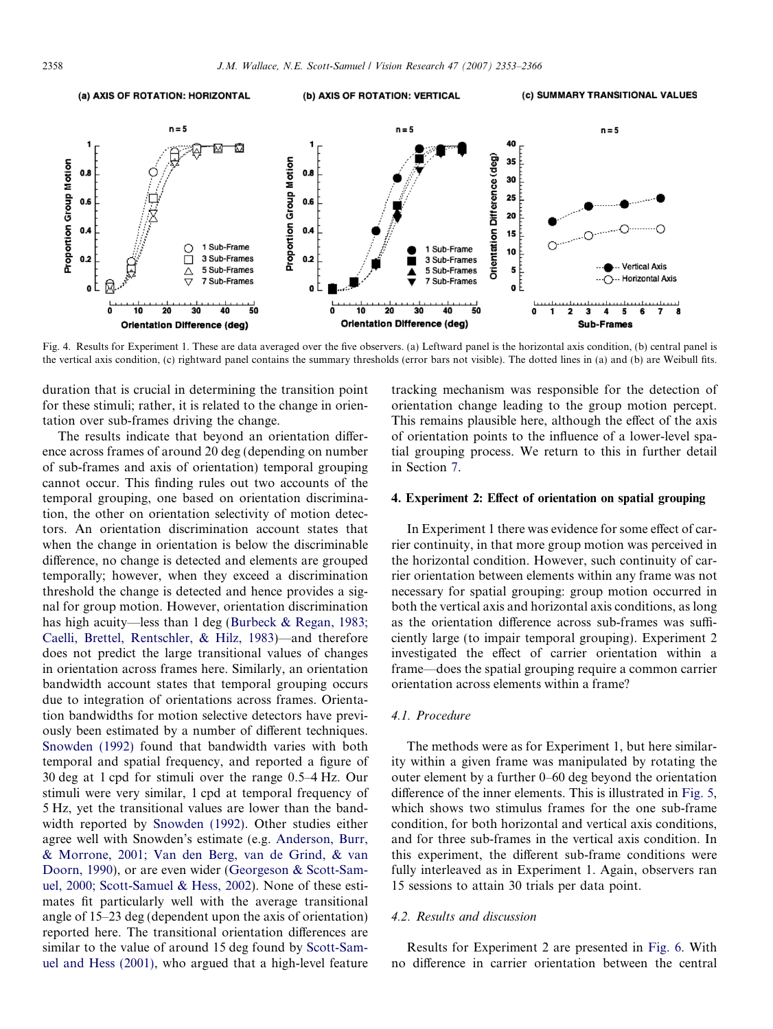#### (a) AXIS OF ROTATION: HORIZONTAL

#### (b) AXIS OF ROTATION: VERTICAL

(c) SUMMARY TRANSITIONAL VALUES

<span id="page-5-0"></span>

Fig. 4. Results for Experiment 1. These are data averaged over the five observers. (a) Leftward panel is the horizontal axis condition, (b) central panel is the vertical axis condition, (c) rightward panel contains the summary thresholds (error bars not visible). The dotted lines in (a) and (b) are Weibull fits.

duration that is crucial in determining the transition point for these stimuli; rather, it is related to the change in orientation over sub-frames driving the change.

The results indicate that beyond an orientation difference across frames of around 20 deg (depending on number of sub-frames and axis of orientation) temporal grouping cannot occur. This finding rules out two accounts of the temporal grouping, one based on orientation discrimination, the other on orientation selectivity of motion detectors. An orientation discrimination account states that when the change in orientation is below the discriminable difference, no change is detected and elements are grouped temporally; however, when they exceed a discrimination threshold the change is detected and hence provides a signal for group motion. However, orientation discrimination has high acuity—less than 1 deg ([Burbeck & Regan, 1983;](#page-12-0) [Caelli, Brettel, Rentschler, & Hilz, 1983](#page-12-0))—and therefore does not predict the large transitional values of changes in orientation across frames here. Similarly, an orientation bandwidth account states that temporal grouping occurs due to integration of orientations across frames. Orientation bandwidths for motion selective detectors have previously been estimated by a number of different techniques. [Snowden \(1992\)](#page-13-0) found that bandwidth varies with both temporal and spatial frequency, and reported a figure of 30 deg at 1 cpd for stimuli over the range 0.5–4 Hz. Our stimuli were very similar, 1 cpd at temporal frequency of 5 Hz, yet the transitional values are lower than the bandwidth reported by [Snowden \(1992\).](#page-13-0) Other studies either agree well with Snowden's estimate (e.g. [Anderson, Burr,](#page-12-0) [& Morrone, 2001; Van den Berg, van de Grind, & van](#page-12-0) [Doorn, 1990\)](#page-12-0), or are even wider ([Georgeson & Scott-Sam](#page-13-0)[uel, 2000; Scott-Samuel & Hess, 2002\)](#page-13-0). None of these estimates fit particularly well with the average transitional angle of 15–23 deg (dependent upon the axis of orientation) reported here. The transitional orientation differences are similar to the value of around 15 deg found by [Scott-Sam](#page-13-0)[uel and Hess \(2001\),](#page-13-0) who argued that a high-level feature

tracking mechanism was responsible for the detection of orientation change leading to the group motion percept. This remains plausible here, although the effect of the axis of orientation points to the influence of a lower-level spatial grouping process. We return to this in further detail in Section [7.](#page-9-0)

#### 4. Experiment 2: Effect of orientation on spatial grouping

In Experiment 1 there was evidence for some effect of carrier continuity, in that more group motion was perceived in the horizontal condition. However, such continuity of carrier orientation between elements within any frame was not necessary for spatial grouping: group motion occurred in both the vertical axis and horizontal axis conditions, as long as the orientation difference across sub-frames was sufficiently large (to impair temporal grouping). Experiment 2 investigated the effect of carrier orientation within a frame—does the spatial grouping require a common carrier orientation across elements within a frame?

# 4.1. Procedure

The methods were as for Experiment 1, but here similarity within a given frame was manipulated by rotating the outer element by a further 0–60 deg beyond the orientation difference of the inner elements. This is illustrated in [Fig. 5](#page-6-0), which shows two stimulus frames for the one sub-frame condition, for both horizontal and vertical axis conditions, and for three sub-frames in the vertical axis condition. In this experiment, the different sub-frame conditions were fully interleaved as in Experiment 1. Again, observers ran 15 sessions to attain 30 trials per data point.

## 4.2. Results and discussion

Results for Experiment 2 are presented in [Fig. 6](#page-6-0). With no difference in carrier orientation between the central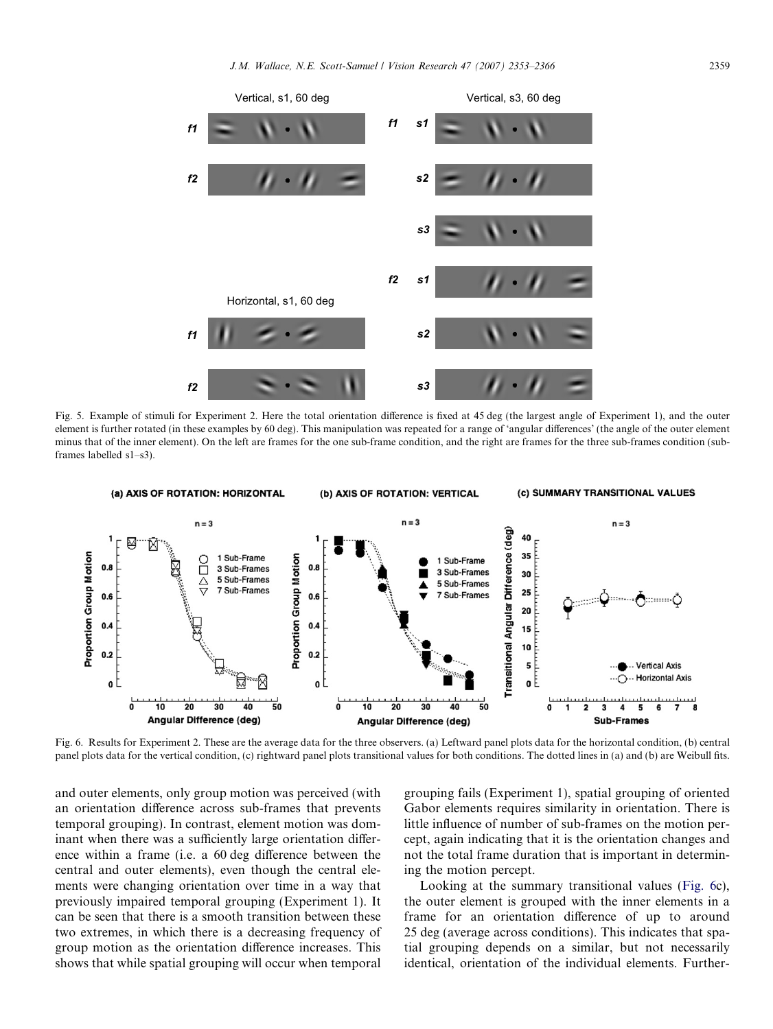<span id="page-6-0"></span>

Fig. 5. Example of stimuli for Experiment 2. Here the total orientation difference is fixed at 45 deg (the largest angle of Experiment 1), and the outer element is further rotated (in these examples by 60 deg). This manipulation was repeated for a range of 'angular differences' (the angle of the outer element minus that of the inner element). On the left are frames for the one sub-frame condition, and the right are frames for the three sub-frames condition (subframes labelled s1–s3).



Fig. 6. Results for Experiment 2. These are the average data for the three observers. (a) Leftward panel plots data for the horizontal condition, (b) central panel plots data for the vertical condition, (c) rightward panel plots transitional values for both conditions. The dotted lines in (a) and (b) are Weibull fits.

and outer elements, only group motion was perceived (with an orientation difference across sub-frames that prevents temporal grouping). In contrast, element motion was dominant when there was a sufficiently large orientation difference within a frame (i.e. a 60 deg difference between the central and outer elements), even though the central elements were changing orientation over time in a way that previously impaired temporal grouping (Experiment 1). It can be seen that there is a smooth transition between these two extremes, in which there is a decreasing frequency of group motion as the orientation difference increases. This shows that while spatial grouping will occur when temporal grouping fails (Experiment 1), spatial grouping of oriented Gabor elements requires similarity in orientation. There is little influence of number of sub-frames on the motion percept, again indicating that it is the orientation changes and not the total frame duration that is important in determining the motion percept.

Looking at the summary transitional values (Fig. 6c), the outer element is grouped with the inner elements in a frame for an orientation difference of up to around 25 deg (average across conditions). This indicates that spatial grouping depends on a similar, but not necessarily identical, orientation of the individual elements. Further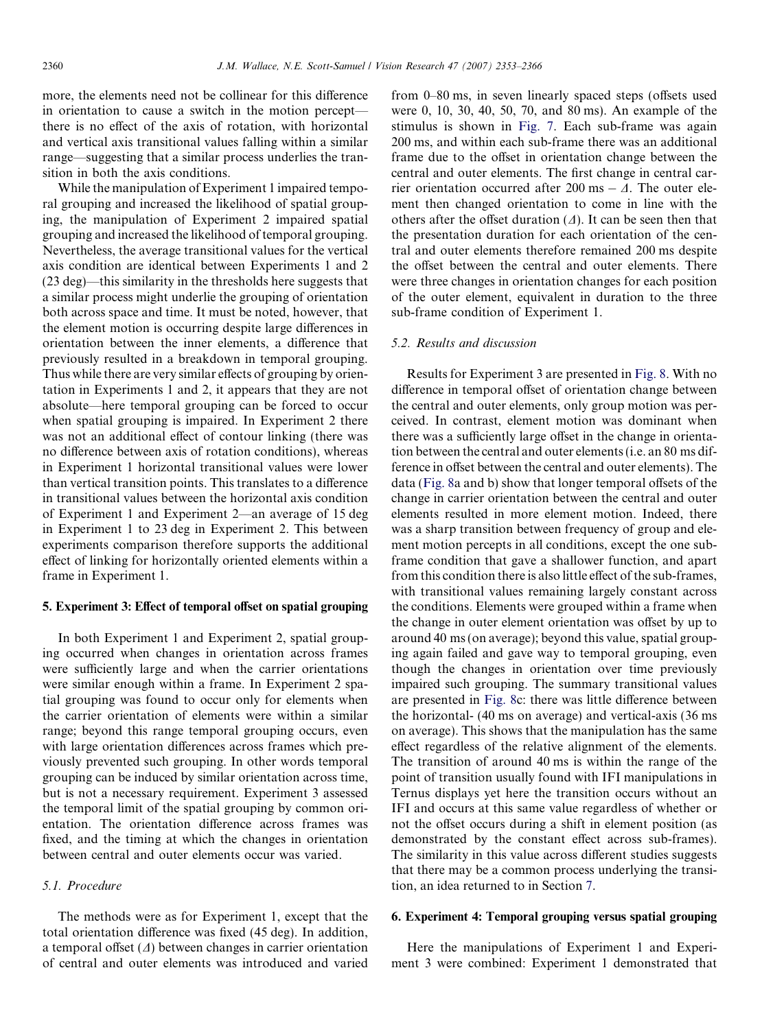more, the elements need not be collinear for this difference in orientation to cause a switch in the motion percept there is no effect of the axis of rotation, with horizontal and vertical axis transitional values falling within a similar range—suggesting that a similar process underlies the transition in both the axis conditions.

While the manipulation of Experiment 1 impaired temporal grouping and increased the likelihood of spatial grouping, the manipulation of Experiment 2 impaired spatial grouping and increased the likelihood of temporal grouping. Nevertheless, the average transitional values for the vertical axis condition are identical between Experiments 1 and 2 (23 deg)—this similarity in the thresholds here suggests that a similar process might underlie the grouping of orientation both across space and time. It must be noted, however, that the element motion is occurring despite large differences in orientation between the inner elements, a difference that previously resulted in a breakdown in temporal grouping. Thus while there are very similar effects of grouping by orientation in Experiments 1 and 2, it appears that they are not absolute—here temporal grouping can be forced to occur when spatial grouping is impaired. In Experiment 2 there was not an additional effect of contour linking (there was no difference between axis of rotation conditions), whereas in Experiment 1 horizontal transitional values were lower than vertical transition points. This translates to a difference in transitional values between the horizontal axis condition of Experiment 1 and Experiment 2—an average of 15 deg in Experiment 1 to 23 deg in Experiment 2. This between experiments comparison therefore supports the additional effect of linking for horizontally oriented elements within a frame in Experiment 1.

#### 5. Experiment 3: Effect of temporal offset on spatial grouping

In both Experiment 1 and Experiment 2, spatial grouping occurred when changes in orientation across frames were sufficiently large and when the carrier orientations were similar enough within a frame. In Experiment 2 spatial grouping was found to occur only for elements when the carrier orientation of elements were within a similar range; beyond this range temporal grouping occurs, even with large orientation differences across frames which previously prevented such grouping. In other words temporal grouping can be induced by similar orientation across time, but is not a necessary requirement. Experiment 3 assessed the temporal limit of the spatial grouping by common orientation. The orientation difference across frames was fixed, and the timing at which the changes in orientation between central and outer elements occur was varied.

## 5.1. Procedure

The methods were as for Experiment 1, except that the total orientation difference was fixed (45 deg). In addition, a temporal offset  $(\Delta)$  between changes in carrier orientation of central and outer elements was introduced and varied

from 0–80 ms, in seven linearly spaced steps (offsets used were 0, 10, 30, 40, 50, 70, and 80 ms). An example of the stimulus is shown in [Fig. 7.](#page-8-0) Each sub-frame was again 200 ms, and within each sub-frame there was an additional frame due to the offset in orientation change between the central and outer elements. The first change in central carrier orientation occurred after 200 ms  $-\Delta$ . The outer element then changed orientation to come in line with the others after the offset duration  $(\Delta)$ . It can be seen then that the presentation duration for each orientation of the central and outer elements therefore remained 200 ms despite the offset between the central and outer elements. There were three changes in orientation changes for each position of the outer element, equivalent in duration to the three sub-frame condition of Experiment 1.

# 5.2. Results and discussion

Results for Experiment 3 are presented in [Fig. 8](#page-8-0). With no difference in temporal offset of orientation change between the central and outer elements, only group motion was perceived. In contrast, element motion was dominant when there was a sufficiently large offset in the change in orientation between the central and outer elements (i.e. an 80 ms difference in offset between the central and outer elements). The data [\(Fig. 8](#page-8-0)a and b) show that longer temporal offsets of the change in carrier orientation between the central and outer elements resulted in more element motion. Indeed, there was a sharp transition between frequency of group and element motion percepts in all conditions, except the one subframe condition that gave a shallower function, and apart from this condition there is also little effect of the sub-frames, with transitional values remaining largely constant across the conditions. Elements were grouped within a frame when the change in outer element orientation was offset by up to around 40 ms (on average); beyond this value, spatial grouping again failed and gave way to temporal grouping, even though the changes in orientation over time previously impaired such grouping. The summary transitional values are presented in [Fig. 8](#page-8-0)c: there was little difference between the horizontal- (40 ms on average) and vertical-axis (36 ms on average). This shows that the manipulation has the same effect regardless of the relative alignment of the elements. The transition of around 40 ms is within the range of the point of transition usually found with IFI manipulations in Ternus displays yet here the transition occurs without an IFI and occurs at this same value regardless of whether or not the offset occurs during a shift in element position (as demonstrated by the constant effect across sub-frames). The similarity in this value across different studies suggests that there may be a common process underlying the transition, an idea returned to in Section [7.](#page-9-0)

## 6. Experiment 4: Temporal grouping versus spatial grouping

Here the manipulations of Experiment 1 and Experiment 3 were combined: Experiment 1 demonstrated that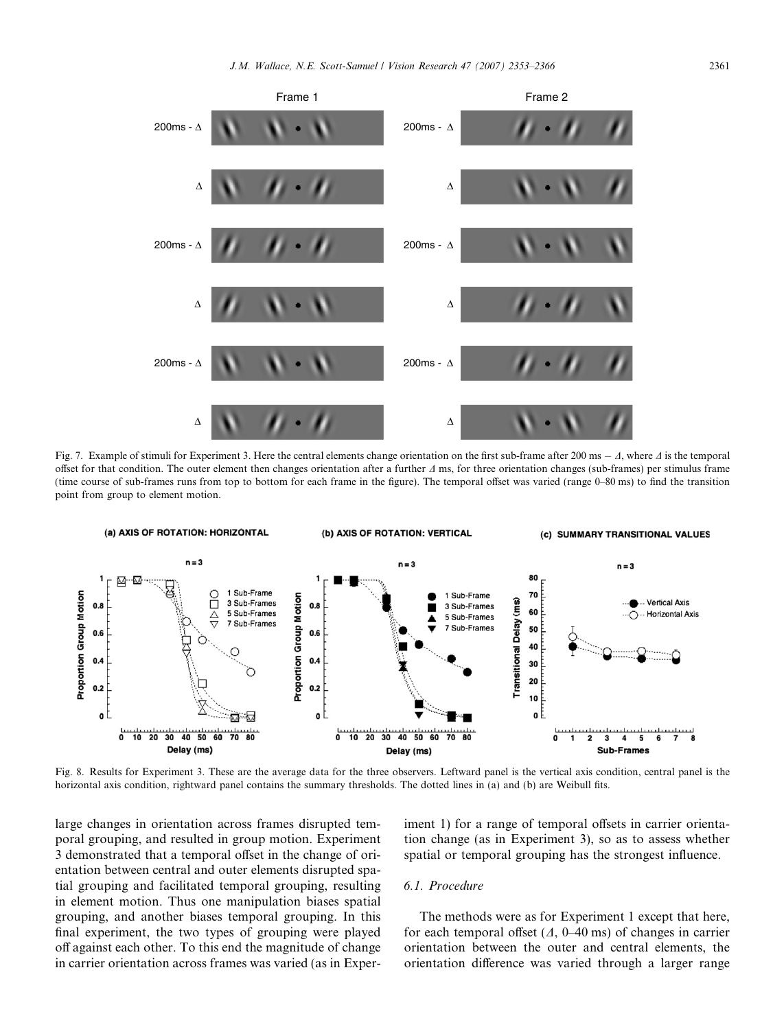<span id="page-8-0"></span>

Fig. 7. Example of stimuli for Experiment 3. Here the central elements change orientation on the first sub-frame after 200 ms  $- A$ , where  $\Lambda$  is the temporal offset for that condition. The outer element then changes orientation after a further  $\Delta$  ms, for three orientation changes (sub-frames) per stimulus frame (time course of sub-frames runs from top to bottom for each frame in the figure). The temporal offset was varied (range 0–80 ms) to find the transition point from group to element motion.



Fig. 8. Results for Experiment 3. These are the average data for the three observers. Leftward panel is the vertical axis condition, central panel is the horizontal axis condition, rightward panel contains the summary thresholds. The dotted lines in (a) and (b) are Weibull fits.

large changes in orientation across frames disrupted temporal grouping, and resulted in group motion. Experiment 3 demonstrated that a temporal offset in the change of orientation between central and outer elements disrupted spatial grouping and facilitated temporal grouping, resulting in element motion. Thus one manipulation biases spatial grouping, and another biases temporal grouping. In this final experiment, the two types of grouping were played off against each other. To this end the magnitude of change in carrier orientation across frames was varied (as in Experiment 1) for a range of temporal offsets in carrier orientation change (as in Experiment 3), so as to assess whether spatial or temporal grouping has the strongest influence.

# 6.1. Procedure

The methods were as for Experiment 1 except that here, for each temporal offset  $(\Lambda, 0-40 \text{ ms})$  of changes in carrier orientation between the outer and central elements, the orientation difference was varied through a larger range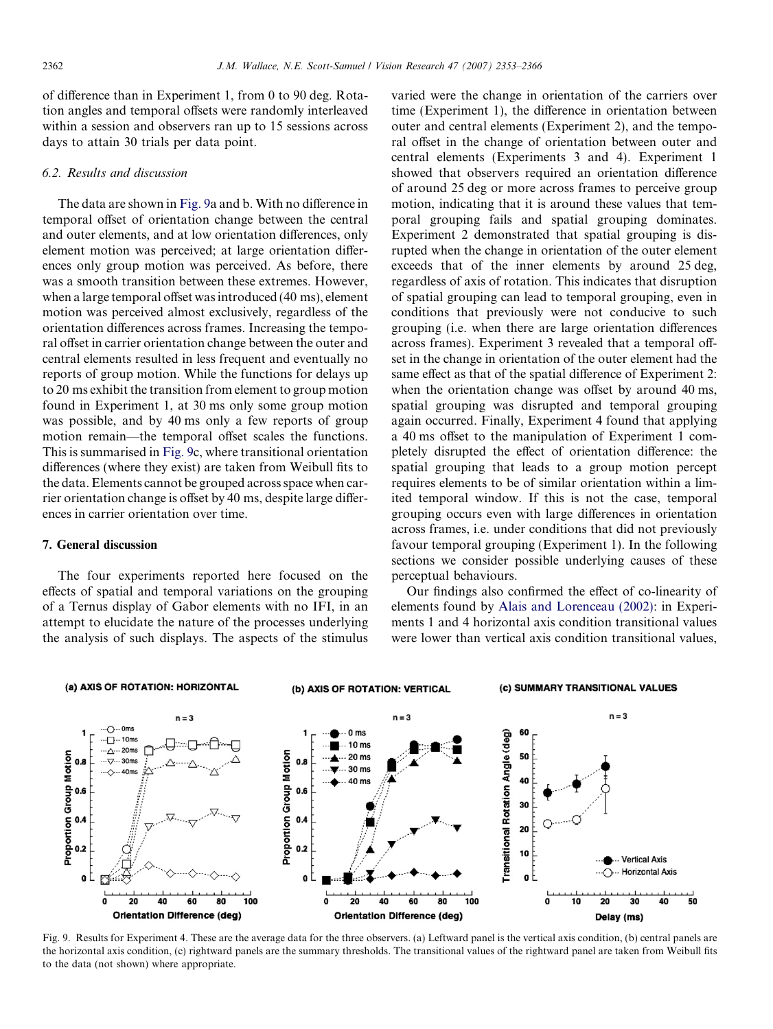<span id="page-9-0"></span>of difference than in Experiment 1, from 0 to 90 deg. Rotation angles and temporal offsets were randomly interleaved within a session and observers ran up to 15 sessions across days to attain 30 trials per data point.

#### 6.2. Results and discussion

The data are shown in Fig. 9a and b. With no difference in temporal offset of orientation change between the central and outer elements, and at low orientation differences, only element motion was perceived; at large orientation differences only group motion was perceived. As before, there was a smooth transition between these extremes. However, when a large temporal offset was introduced (40 ms), element motion was perceived almost exclusively, regardless of the orientation differences across frames. Increasing the temporal offset in carrier orientation change between the outer and central elements resulted in less frequent and eventually no reports of group motion. While the functions for delays up to 20 ms exhibit the transition from element to group motion found in Experiment 1, at 30 ms only some group motion was possible, and by 40 ms only a few reports of group motion remain—the temporal offset scales the functions. This is summarised in Fig. 9c, where transitional orientation differences (where they exist) are taken from Weibull fits to the data. Elements cannot be grouped across space when carrier orientation change is offset by 40 ms, despite large differences in carrier orientation over time.

#### 7. General discussion

The four experiments reported here focused on the effects of spatial and temporal variations on the grouping of a Ternus display of Gabor elements with no IFI, in an attempt to elucidate the nature of the processes underlying the analysis of such displays. The aspects of the stimulus

varied were the change in orientation of the carriers over time (Experiment 1), the difference in orientation between outer and central elements (Experiment 2), and the temporal offset in the change of orientation between outer and central elements (Experiments 3 and 4). Experiment 1 showed that observers required an orientation difference of around 25 deg or more across frames to perceive group motion, indicating that it is around these values that temporal grouping fails and spatial grouping dominates. Experiment 2 demonstrated that spatial grouping is disrupted when the change in orientation of the outer element exceeds that of the inner elements by around 25 deg, regardless of axis of rotation. This indicates that disruption of spatial grouping can lead to temporal grouping, even in conditions that previously were not conducive to such grouping (i.e. when there are large orientation differences across frames). Experiment 3 revealed that a temporal offset in the change in orientation of the outer element had the same effect as that of the spatial difference of Experiment 2: when the orientation change was offset by around 40 ms, spatial grouping was disrupted and temporal grouping again occurred. Finally, Experiment 4 found that applying a 40 ms offset to the manipulation of Experiment 1 completely disrupted the effect of orientation difference: the spatial grouping that leads to a group motion percept requires elements to be of similar orientation within a limited temporal window. If this is not the case, temporal grouping occurs even with large differences in orientation across frames, i.e. under conditions that did not previously favour temporal grouping (Experiment 1). In the following sections we consider possible underlying causes of these perceptual behaviours.

Our findings also confirmed the effect of co-linearity of elements found by [Alais and Lorenceau \(2002\):](#page-12-0) in Experiments 1 and 4 horizontal axis condition transitional values were lower than vertical axis condition transitional values,



Fig. 9. Results for Experiment 4. These are the average data for the three observers. (a) Leftward panel is the vertical axis condition, (b) central panels are the horizontal axis condition, (c) rightward panels are the summary thresholds. The transitional values of the rightward panel are taken from Weibull fits to the data (not shown) where appropriate.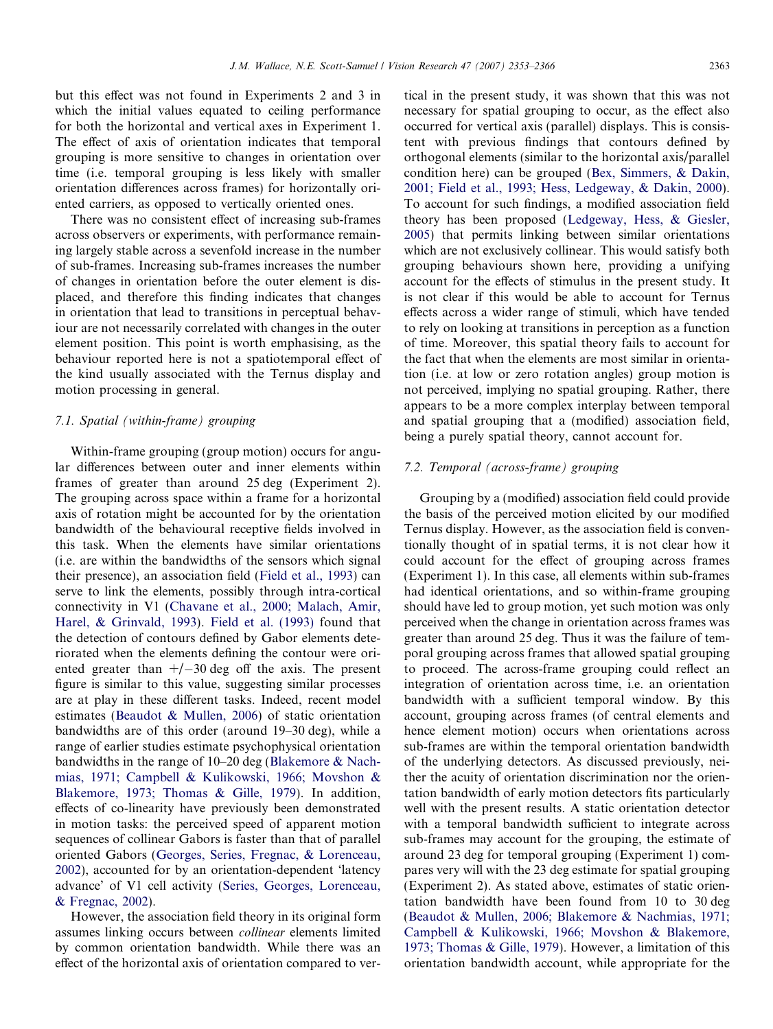but this effect was not found in Experiments 2 and 3 in which the initial values equated to ceiling performance for both the horizontal and vertical axes in Experiment 1. The effect of axis of orientation indicates that temporal grouping is more sensitive to changes in orientation over time (i.e. temporal grouping is less likely with smaller orientation differences across frames) for horizontally oriented carriers, as opposed to vertically oriented ones.

There was no consistent effect of increasing sub-frames across observers or experiments, with performance remaining largely stable across a sevenfold increase in the number of sub-frames. Increasing sub-frames increases the number of changes in orientation before the outer element is displaced, and therefore this finding indicates that changes in orientation that lead to transitions in perceptual behaviour are not necessarily correlated with changes in the outer element position. This point is worth emphasising, as the behaviour reported here is not a spatiotemporal effect of the kind usually associated with the Ternus display and motion processing in general.

## 7.1. Spatial (within-frame) grouping

Within-frame grouping (group motion) occurs for angular differences between outer and inner elements within frames of greater than around 25 deg (Experiment 2). The grouping across space within a frame for a horizontal axis of rotation might be accounted for by the orientation bandwidth of the behavioural receptive fields involved in this task. When the elements have similar orientations (i.e. are within the bandwidths of the sensors which signal their presence), an association field ([Field et al., 1993](#page-13-0)) can serve to link the elements, possibly through intra-cortical connectivity in V1 ([Chavane et al., 2000; Malach, Amir,](#page-12-0) [Harel, & Grinvald, 1993\)](#page-12-0). [Field et al. \(1993\)](#page-13-0) found that the detection of contours defined by Gabor elements deteriorated when the elements defining the contour were oriented greater than  $+/-30$  deg off the axis. The present figure is similar to this value, suggesting similar processes are at play in these different tasks. Indeed, recent model estimates [\(Beaudot & Mullen, 2006\)](#page-12-0) of static orientation bandwidths are of this order (around 19–30 deg), while a range of earlier studies estimate psychophysical orientation bandwidths in the range of 10–20 deg ([Blakemore & Nach](#page-12-0)[mias, 1971; Campbell & Kulikowski, 1966; Movshon &](#page-12-0) [Blakemore, 1973; Thomas & Gille, 1979](#page-12-0)). In addition, effects of co-linearity have previously been demonstrated in motion tasks: the perceived speed of apparent motion sequences of collinear Gabors is faster than that of parallel oriented Gabors [\(Georges, Series, Fregnac, & Lorenceau,](#page-13-0) [2002](#page-13-0)), accounted for by an orientation-dependent 'latency advance' of V1 cell activity ([Series, Georges, Lorenceau,](#page-13-0) [& Fregnac, 2002](#page-13-0)).

However, the association field theory in its original form assumes linking occurs between collinear elements limited by common orientation bandwidth. While there was an effect of the horizontal axis of orientation compared to vertical in the present study, it was shown that this was not necessary for spatial grouping to occur, as the effect also occurred for vertical axis (parallel) displays. This is consistent with previous findings that contours defined by orthogonal elements (similar to the horizontal axis/parallel condition here) can be grouped ([Bex, Simmers, & Dakin,](#page-12-0) [2001; Field et al., 1993; Hess, Ledgeway, & Dakin, 2000\)](#page-12-0). To account for such findings, a modified association field theory has been proposed [\(Ledgeway, Hess, & Giesler,](#page-13-0) [2005](#page-13-0)) that permits linking between similar orientations which are not exclusively collinear. This would satisfy both grouping behaviours shown here, providing a unifying account for the effects of stimulus in the present study. It is not clear if this would be able to account for Ternus effects across a wider range of stimuli, which have tended to rely on looking at transitions in perception as a function of time. Moreover, this spatial theory fails to account for the fact that when the elements are most similar in orientation (i.e. at low or zero rotation angles) group motion is not perceived, implying no spatial grouping. Rather, there appears to be a more complex interplay between temporal and spatial grouping that a (modified) association field, being a purely spatial theory, cannot account for.

## 7.2. Temporal (across-frame) grouping

Grouping by a (modified) association field could provide the basis of the perceived motion elicited by our modified Ternus display. However, as the association field is conventionally thought of in spatial terms, it is not clear how it could account for the effect of grouping across frames (Experiment 1). In this case, all elements within sub-frames had identical orientations, and so within-frame grouping should have led to group motion, yet such motion was only perceived when the change in orientation across frames was greater than around 25 deg. Thus it was the failure of temporal grouping across frames that allowed spatial grouping to proceed. The across-frame grouping could reflect an integration of orientation across time, i.e. an orientation bandwidth with a sufficient temporal window. By this account, grouping across frames (of central elements and hence element motion) occurs when orientations across sub-frames are within the temporal orientation bandwidth of the underlying detectors. As discussed previously, neither the acuity of orientation discrimination nor the orientation bandwidth of early motion detectors fits particularly well with the present results. A static orientation detector with a temporal bandwidth sufficient to integrate across sub-frames may account for the grouping, the estimate of around 23 deg for temporal grouping (Experiment 1) compares very will with the 23 deg estimate for spatial grouping (Experiment 2). As stated above, estimates of static orientation bandwidth have been found from 10 to 30 deg ([Beaudot & Mullen, 2006; Blakemore & Nachmias, 1971;](#page-12-0) [Campbell & Kulikowski, 1966; Movshon & Blakemore,](#page-12-0) [1973; Thomas & Gille, 1979\)](#page-12-0). However, a limitation of this orientation bandwidth account, while appropriate for the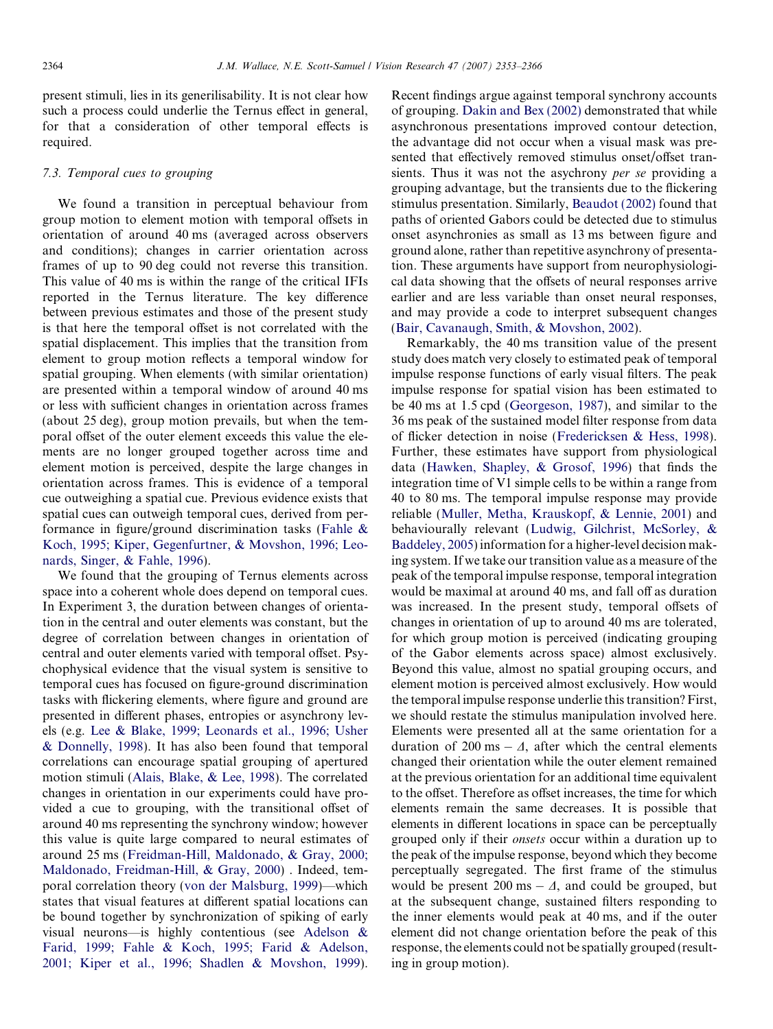present stimuli, lies in its generilisability. It is not clear how such a process could underlie the Ternus effect in general, for that a consideration of other temporal effects is required.

# 7.3. Temporal cues to grouping

We found a transition in perceptual behaviour from group motion to element motion with temporal offsets in orientation of around 40 ms (averaged across observers and conditions); changes in carrier orientation across frames of up to 90 deg could not reverse this transition. This value of 40 ms is within the range of the critical IFIs reported in the Ternus literature. The key difference between previous estimates and those of the present study is that here the temporal offset is not correlated with the spatial displacement. This implies that the transition from element to group motion reflects a temporal window for spatial grouping. When elements (with similar orientation) are presented within a temporal window of around 40 ms or less with sufficient changes in orientation across frames (about 25 deg), group motion prevails, but when the temporal offset of the outer element exceeds this value the elements are no longer grouped together across time and element motion is perceived, despite the large changes in orientation across frames. This is evidence of a temporal cue outweighing a spatial cue. Previous evidence exists that spatial cues can outweigh temporal cues, derived from performance in figure/ground discrimination tasks ([Fahle &](#page-13-0) [Koch, 1995; Kiper, Gegenfurtner, & Movshon, 1996; Leo](#page-13-0)[nards, Singer, & Fahle, 1996\)](#page-13-0).

We found that the grouping of Ternus elements across space into a coherent whole does depend on temporal cues. In Experiment 3, the duration between changes of orientation in the central and outer elements was constant, but the degree of correlation between changes in orientation of central and outer elements varied with temporal offset. Psychophysical evidence that the visual system is sensitive to temporal cues has focused on figure-ground discrimination tasks with flickering elements, where figure and ground are presented in different phases, entropies or asynchrony levels (e.g. [Lee & Blake, 1999; Leonards et al., 1996; Usher](#page-13-0) [& Donnelly, 1998\)](#page-13-0). It has also been found that temporal correlations can encourage spatial grouping of apertured motion stimuli [\(Alais, Blake, & Lee, 1998](#page-12-0)). The correlated changes in orientation in our experiments could have provided a cue to grouping, with the transitional offset of around 40 ms representing the synchrony window; however this value is quite large compared to neural estimates of around 25 ms [\(Freidman-Hill, Maldonado, & Gray, 2000;](#page-13-0) [Maldonado, Freidman-Hill, & Gray, 2000](#page-13-0)) . Indeed, temporal correlation theory [\(von der Malsburg, 1999](#page-13-0))—which states that visual features at different spatial locations can be bound together by synchronization of spiking of early visual neurons—is highly contentious (see [Adelson &](#page-12-0) [Farid, 1999; Fahle & Koch, 1995; Farid & Adelson,](#page-12-0) [2001; Kiper et al., 1996; Shadlen & Movshon, 1999\)](#page-12-0).

Recent findings argue against temporal synchrony accounts of grouping. [Dakin and Bex \(2002\)](#page-13-0) demonstrated that while asynchronous presentations improved contour detection, the advantage did not occur when a visual mask was presented that effectively removed stimulus onset/offset transients. Thus it was not the asychrony per se providing a grouping advantage, but the transients due to the flickering stimulus presentation. Similarly, [Beaudot \(2002\)](#page-12-0) found that paths of oriented Gabors could be detected due to stimulus onset asynchronies as small as 13 ms between figure and ground alone, rather than repetitive asynchrony of presentation. These arguments have support from neurophysiological data showing that the offsets of neural responses arrive earlier and are less variable than onset neural responses, and may provide a code to interpret subsequent changes [\(Bair, Cavanaugh, Smith, & Movshon, 2002\)](#page-12-0).

Remarkably, the 40 ms transition value of the present study does match very closely to estimated peak of temporal impulse response functions of early visual filters. The peak impulse response for spatial vision has been estimated to be 40 ms at 1.5 cpd ([Georgeson, 1987](#page-13-0)), and similar to the 36 ms peak of the sustained model filter response from data of flicker detection in noise [\(Fredericksen & Hess, 1998\)](#page-13-0). Further, these estimates have support from physiological data ([Hawken, Shapley, & Grosof, 1996\)](#page-13-0) that finds the integration time of V1 simple cells to be within a range from 40 to 80 ms. The temporal impulse response may provide reliable ([Muller, Metha, Krauskopf, & Lennie, 2001\)](#page-13-0) and behaviourally relevant ([Ludwig, Gilchrist, McSorley, &](#page-13-0) [Baddeley, 2005](#page-13-0)) information for a higher-level decision making system. If we take our transition value as a measure of the peak of the temporal impulse response, temporal integration would be maximal at around 40 ms, and fall off as duration was increased. In the present study, temporal offsets of changes in orientation of up to around 40 ms are tolerated, for which group motion is perceived (indicating grouping of the Gabor elements across space) almost exclusively. Beyond this value, almost no spatial grouping occurs, and element motion is perceived almost exclusively. How would the temporal impulse response underlie this transition? First, we should restate the stimulus manipulation involved here. Elements were presented all at the same orientation for a duration of 200 ms  $-\Delta$ , after which the central elements changed their orientation while the outer element remained at the previous orientation for an additional time equivalent to the offset. Therefore as offset increases, the time for which elements remain the same decreases. It is possible that elements in different locations in space can be perceptually grouped only if their onsets occur within a duration up to the peak of the impulse response, beyond which they become perceptually segregated. The first frame of the stimulus would be present 200 ms  $-\Delta$ , and could be grouped, but at the subsequent change, sustained filters responding to the inner elements would peak at 40 ms, and if the outer element did not change orientation before the peak of this response, the elements could not be spatially grouped (resulting in group motion).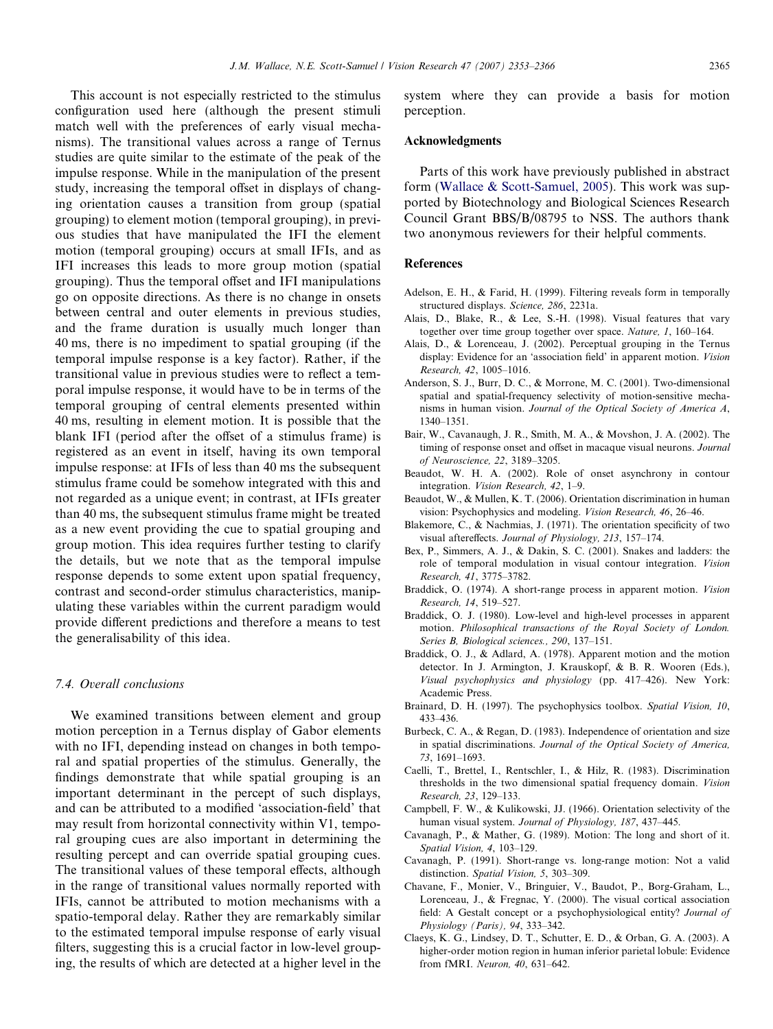<span id="page-12-0"></span>This account is not especially restricted to the stimulus configuration used here (although the present stimuli match well with the preferences of early visual mechanisms). The transitional values across a range of Ternus studies are quite similar to the estimate of the peak of the impulse response. While in the manipulation of the present study, increasing the temporal offset in displays of changing orientation causes a transition from group (spatial grouping) to element motion (temporal grouping), in previous studies that have manipulated the IFI the element motion (temporal grouping) occurs at small IFIs, and as IFI increases this leads to more group motion (spatial grouping). Thus the temporal offset and IFI manipulations go on opposite directions. As there is no change in onsets between central and outer elements in previous studies, and the frame duration is usually much longer than 40 ms, there is no impediment to spatial grouping (if the temporal impulse response is a key factor). Rather, if the transitional value in previous studies were to reflect a temporal impulse response, it would have to be in terms of the temporal grouping of central elements presented within 40 ms, resulting in element motion. It is possible that the blank IFI (period after the offset of a stimulus frame) is registered as an event in itself, having its own temporal impulse response: at IFIs of less than 40 ms the subsequent stimulus frame could be somehow integrated with this and not regarded as a unique event; in contrast, at IFIs greater than 40 ms, the subsequent stimulus frame might be treated as a new event providing the cue to spatial grouping and group motion. This idea requires further testing to clarify the details, but we note that as the temporal impulse response depends to some extent upon spatial frequency, contrast and second-order stimulus characteristics, manipulating these variables within the current paradigm would provide different predictions and therefore a means to test the generalisability of this idea.

#### 7.4. Overall conclusions

We examined transitions between element and group motion perception in a Ternus display of Gabor elements with no IFI, depending instead on changes in both temporal and spatial properties of the stimulus. Generally, the findings demonstrate that while spatial grouping is an important determinant in the percept of such displays, and can be attributed to a modified 'association-field' that may result from horizontal connectivity within V1, temporal grouping cues are also important in determining the resulting percept and can override spatial grouping cues. The transitional values of these temporal effects, although in the range of transitional values normally reported with IFIs, cannot be attributed to motion mechanisms with a spatio-temporal delay. Rather they are remarkably similar to the estimated temporal impulse response of early visual filters, suggesting this is a crucial factor in low-level grouping, the results of which are detected at a higher level in the system where they can provide a basis for motion perception.

#### Acknowledgments

Parts of this work have previously published in abstract form ([Wallace & Scott-Samuel, 2005](#page-13-0)). This work was supported by Biotechnology and Biological Sciences Research Council Grant BBS/B/08795 to NSS. The authors thank two anonymous reviewers for their helpful comments.

#### References

- Adelson, E. H., & Farid, H. (1999). Filtering reveals form in temporally structured displays. Science, 286, 2231a.
- Alais, D., Blake, R., & Lee, S.-H. (1998). Visual features that vary together over time group together over space. Nature, 1, 160–164.
- Alais, D., & Lorenceau, J. (2002). Perceptual grouping in the Ternus display: Evidence for an 'association field' in apparent motion. Vision Research, 42, 1005–1016.
- Anderson, S. J., Burr, D. C., & Morrone, M. C. (2001). Two-dimensional spatial and spatial-frequency selectivity of motion-sensitive mechanisms in human vision. Journal of the Optical Society of America A, 1340–1351.
- Bair, W., Cavanaugh, J. R., Smith, M. A., & Movshon, J. A. (2002). The timing of response onset and offset in macaque visual neurons. Journal of Neuroscience, 22, 3189–3205.
- Beaudot, W. H. A. (2002). Role of onset asynchrony in contour integration. Vision Research, 42, 1–9.
- Beaudot, W., & Mullen, K. T. (2006). Orientation discrimination in human vision: Psychophysics and modeling. Vision Research, 46, 26–46.
- Blakemore, C., & Nachmias, J. (1971). The orientation specificity of two visual aftereffects. Journal of Physiology, 213, 157–174.
- Bex, P., Simmers, A. J., & Dakin, S. C. (2001). Snakes and ladders: the role of temporal modulation in visual contour integration. Vision Research, 41, 3775–3782.
- Braddick, O. (1974). A short-range process in apparent motion. Vision Research, 14, 519–527.
- Braddick, O. J. (1980). Low-level and high-level processes in apparent motion. Philosophical transactions of the Royal Society of London. Series B, Biological sciences., 290, 137–151.
- Braddick, O. J., & Adlard, A. (1978). Apparent motion and the motion detector. In J. Armington, J. Krauskopf, & B. R. Wooren (Eds.), Visual psychophysics and physiology (pp. 417–426). New York: Academic Press.
- Brainard, D. H. (1997). The psychophysics toolbox. Spatial Vision, 10, 433–436.
- Burbeck, C. A., & Regan, D. (1983). Independence of orientation and size in spatial discriminations. Journal of the Optical Society of America, 73, 1691–1693.
- Caelli, T., Brettel, I., Rentschler, I., & Hilz, R. (1983). Discrimination thresholds in the two dimensional spatial frequency domain. Vision Research, 23, 129–133.
- Campbell, F. W., & Kulikowski, JJ. (1966). Orientation selectivity of the human visual system. Journal of Physiology, 187, 437–445.
- Cavanagh, P., & Mather, G. (1989). Motion: The long and short of it. Spatial Vision, 4, 103–129.
- Cavanagh, P. (1991). Short-range vs. long-range motion: Not a valid distinction. Spatial Vision, 5, 303–309.
- Chavane, F., Monier, V., Bringuier, V., Baudot, P., Borg-Graham, L., Lorenceau, J., & Fregnac, Y. (2000). The visual cortical association field: A Gestalt concept or a psychophysiological entity? Journal of Physiology (Paris), 94, 333–342.
- Claeys, K. G., Lindsey, D. T., Schutter, E. D., & Orban, G. A. (2003). A higher-order motion region in human inferior parietal lobule: Evidence from fMRI. Neuron, 40, 631–642.